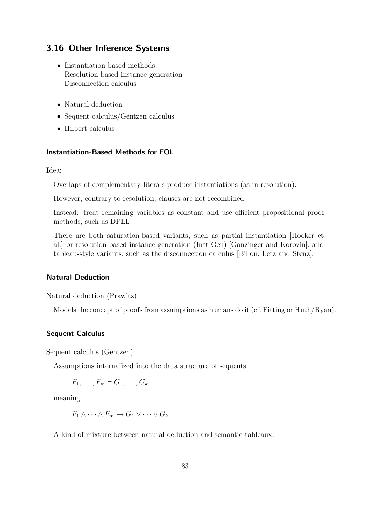# 3.16 Other Inference Systems

• Instantiation-based methods Resolution-based instance generation Disconnection calculus

. . .

- Natural deduction
- Sequent calculus/Gentzen calculus
- Hilbert calculus

#### Instantiation-Based Methods for FOL

Idea:

Overlaps of complementary literals produce instantiations (as in resolution);

However, contrary to resolution, clauses are not recombined.

Instead: treat remaining variables as constant and use efficient propositional proof methods, such as DPLL.

There are both saturation-based variants, such as partial instantiation [Hooker et al.] or resolution-based instance generation (Inst-Gen) [Ganzinger and Korovin], and tableau-style variants, such as the disconnection calculus [Billon; Letz and Stenz].

## Natural Deduction

Natural deduction (Prawitz):

Models the concept of proofs from assumptions as humans do it (cf. Fitting or Huth/Ryan).

### Sequent Calculus

Sequent calculus (Gentzen):

Assumptions internalized into the data structure of sequents

 $F_1, \ldots, F_m \vdash G_1, \ldots, G_k$ 

meaning

 $F_1 \wedge \cdots \wedge F_m \to G_1 \vee \cdots \vee G_k$ 

A kind of mixture between natural deduction and semantic tableaux.